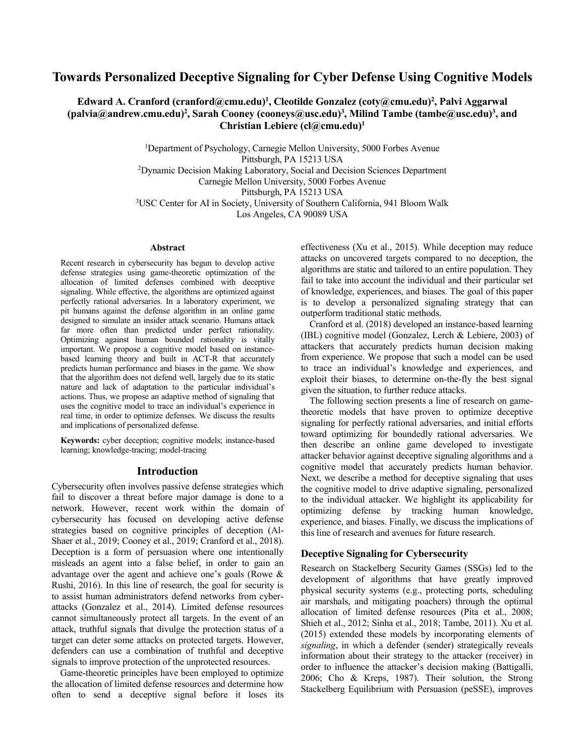# **Towards Personalized Deceptive Signaling for Cyber Defense Using Cognitive Models**

**Edward A. Cranford (cranford@cmu.edu) 1 , Cleotilde Gonzalez (coty@cmu.edu)<sup>2</sup> , Palvi Aggarwal (palvia@andrew.cmu.edu)<sup>2</sup> , Sarah Cooney (cooneys@usc.edu)<sup>3</sup> , Milind Tambe (tambe@usc.edu)<sup>3</sup> , and Christian Lebiere (cl@cmu.edu)<sup>1</sup>**

> <sup>1</sup>Department of Psychology, Carnegie Mellon University, 5000 Forbes Avenue Pittsburgh, PA 15213 USA <sup>2</sup>Dynamic Decision Making Laboratory, Social and Decision Sciences Department Carnegie Mellon University, 5000 Forbes Avenue Pittsburgh, PA 15213 USA <sup>3</sup>USC Center for AI in Society, University of Southern California, 941 Bloom Walk Los Angeles, CA 90089 USA

#### **Abstract**

Recent research in cybersecurity has begun to develop active defense strategies using game-theoretic optimization of the allocation of limited defenses combined with deceptive signaling. While effective, the algorithms are optimized against perfectly rational adversaries. In a laboratory experiment, we pit humans against the defense algorithm in an online game designed to simulate an insider attack scenario. Humans attack far more often than predicted under perfect rationality. Optimizing against human bounded rationality is vitally important. We propose a cognitive model based on instancebased learning theory and built in ACT-R that accurately predicts human performance and biases in the game. We show that the algorithm does not defend well, largely due to its static nature and lack of adaptation to the particular individual's actions. Thus, we propose an adaptive method of signaling that uses the cognitive model to trace an individual's experience in real time, in order to optimize defenses. We discuss the results and implications of personalized defense.

**Keywords:** cyber deception; cognitive models; instance-based learning; knowledge-tracing; model-tracing

# **Introduction**

Cybersecurity often involves passive defense strategies which fail to discover a threat before major damage is done to a network. However, recent work within the domain of cybersecurity has focused on developing active defense strategies based on cognitive principles of deception (Al-Shaer et al., 2019; Cooney et al., 2019; Cranford et al., 2018). Deception is a form of persuasion where one intentionally misleads an agent into a false belief, in order to gain an advantage over the agent and achieve one's goals (Rowe & Rushi, 2016). In this line of research, the goal for security is to assist human administrators defend networks from cyberattacks (Gonzalez et al., 2014). Limited defense resources cannot simultaneously protect all targets. In the event of an attack, truthful signals that divulge the protection status of a target can deter some attacks on protected targets. However, defenders can use a combination of truthful and deceptive signals to improve protection of the unprotected resources.

Game-theoretic principles have been employed to optimize the allocation of limited defense resources and determine how often to send a deceptive signal before it loses its

effectiveness (Xu et al., 2015). While deception may reduce attacks on uncovered targets compared to no deception, the algorithms are static and tailored to an entire population. They fail to take into account the individual and their particular set of knowledge, experiences, and biases. The goal of this paper is to develop a personalized signaling strategy that can outperform traditional static methods.

Cranford et al. (2018) developed an instance-based learning (IBL) cognitive model (Gonzalez, Lerch & Lebiere, 2003) of attackers that accurately predicts human decision making from experience. We propose that such a model can be used to trace an individual's knowledge and experiences, and exploit their biases, to determine on-the-fly the best signal given the situation, to further reduce attacks.

The following section presents a line of research on gametheoretic models that have proven to optimize deceptive signaling for perfectly rational adversaries, and initial efforts toward optimizing for boundedly rational adversaries. We then describe an online game developed to investigate attacker behavior against deceptive signaling algorithms and a cognitive model that accurately predicts human behavior. Next, we describe a method for deceptive signaling that uses the cognitive model to drive adaptive signaling, personalized to the individual attacker. We highlight its applicability for optimizing defense by tracking human knowledge, experience, and biases. Finally, we discuss the implications of this line of research and avenues for future research.

## **Deceptive Signaling for Cybersecurity**

Research on Stackelberg Security Games (SSGs) led to the development of algorithms that have greatly improved physical security systems (e.g., protecting ports, scheduling air marshals, and mitigating poachers) through the optimal allocation of limited defense resources (Pita et al., 2008; Shieh et al., 2012; Sinha et al., 2018; Tambe, 2011). Xu et al. (2015) extended these models by incorporating elements of *signaling*, in which a defender (sender) strategically reveals information about their strategy to the attacker (receiver) in order to influence the attacker's decision making (Battigalli, 2006; Cho & Kreps, 1987). Their solution, the Strong Stackelberg Equilibrium with Persuasion (peSSE), improves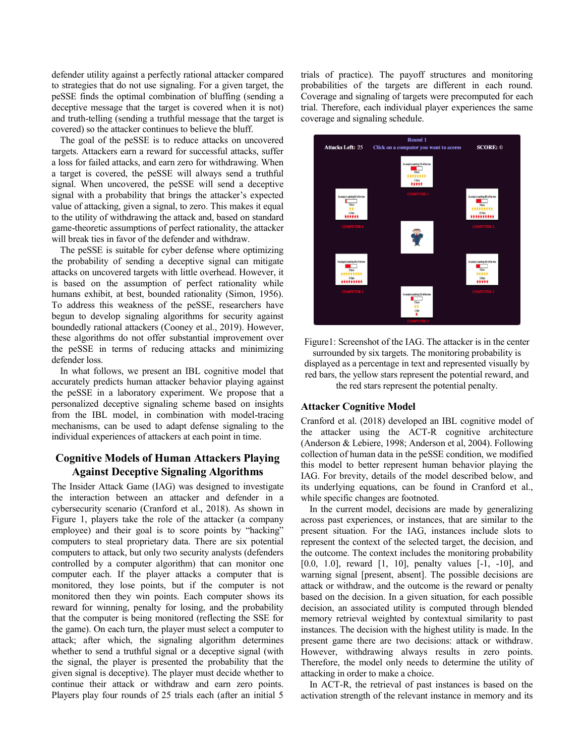defender utility against a perfectly rational attacker compared to strategies that do not use signaling. For a given target, the peSSE finds the optimal combination of bluffing (sending a deceptive message that the target is covered when it is not) and truth-telling (sending a truthful message that the target is covered) so the attacker continues to believe the bluff.

The goal of the peSSE is to reduce attacks on uncovered targets. Attackers earn a reward for successful attacks, suffer a loss for failed attacks, and earn zero for withdrawing. When a target is covered, the peSSE will always send a truthful signal. When uncovered, the peSSE will send a deceptive signal with a probability that brings the attacker's expected value of attacking, given a signal, to zero. This makes it equal to the utility of withdrawing the attack and, based on standard game-theoretic assumptions of perfect rationality, the attacker will break ties in favor of the defender and withdraw.

The peSSE is suitable for cyber defense where optimizing the probability of sending a deceptive signal can mitigate attacks on uncovered targets with little overhead. However, it is based on the assumption of perfect rationality while humans exhibit, at best, bounded rationality (Simon, 1956). To address this weakness of the peSSE, researchers have begun to develop signaling algorithms for security against boundedly rational attackers (Cooney et al., 2019). However, these algorithms do not offer substantial improvement over the peSSE in terms of reducing attacks and minimizing defender loss.

In what follows, we present an IBL cognitive model that accurately predicts human attacker behavior playing against the peSSE in a laboratory experiment. We propose that a personalized deceptive signaling scheme based on insights from the IBL model, in combination with model-tracing mechanisms, can be used to adapt defense signaling to the individual experiences of attackers at each point in time.

# **Cognitive Models of Human Attackers Playing Against Deceptive Signaling Algorithms**

The Insider Attack Game (IAG) was designed to investigate the interaction between an attacker and defender in a cybersecurity scenario (Cranford et al., 2018). As shown in Figure 1, players take the role of the attacker (a company employee) and their goal is to score points by "hacking" computers to steal proprietary data. There are six potential computers to attack, but only two security analysts (defenders controlled by a computer algorithm) that can monitor one computer each. If the player attacks a computer that is monitored, they lose points, but if the computer is not monitored then they win points. Each computer shows its reward for winning, penalty for losing, and the probability that the computer is being monitored (reflecting the SSE for the game). On each turn, the player must select a computer to attack; after which, the signaling algorithm determines whether to send a truthful signal or a deceptive signal (with the signal, the player is presented the probability that the given signal is deceptive). The player must decide whether to continue their attack or withdraw and earn zero points. Players play four rounds of 25 trials each (after an initial 5 trials of practice). The payoff structures and monitoring probabilities of the targets are different in each round. Coverage and signaling of targets were precomputed for each trial. Therefore, each individual player experiences the same coverage and signaling schedule.



Figure1: Screenshot of the IAG. The attacker is in the center surrounded by six targets. The monitoring probability is displayed as a percentage in text and represented visually by red bars, the yellow stars represent the potential reward, and the red stars represent the potential penalty.

## **Attacker Cognitive Model**

Cranford et al. (2018) developed an IBL cognitive model of the attacker using the ACT-R cognitive architecture (Anderson & Lebiere, 1998; Anderson et al, 2004). Following collection of human data in the peSSE condition, we modified this model to better represent human behavior playing the IAG. For brevity, details of the model described below, and its underlying equations, can be found in Cranford et al., while specific changes are footnoted.

In the current model, decisions are made by generalizing across past experiences, or instances, that are similar to the present situation. For the IAG, instances include slots to represent the context of the selected target, the decision, and the outcome. The context includes the monitoring probability [0.0, 1.0], reward [1, 10], penalty values [-1, -10], and warning signal [present, absent]. The possible decisions are attack or withdraw, and the outcome is the reward or penalty based on the decision. In a given situation, for each possible decision, an associated utility is computed through blended memory retrieval weighted by contextual similarity to past instances. The decision with the highest utility is made. In the present game there are two decisions: attack or withdraw. However, withdrawing always results in zero points. Therefore, the model only needs to determine the utility of attacking in order to make a choice.

In ACT-R, the retrieval of past instances is based on the activation strength of the relevant instance in memory and its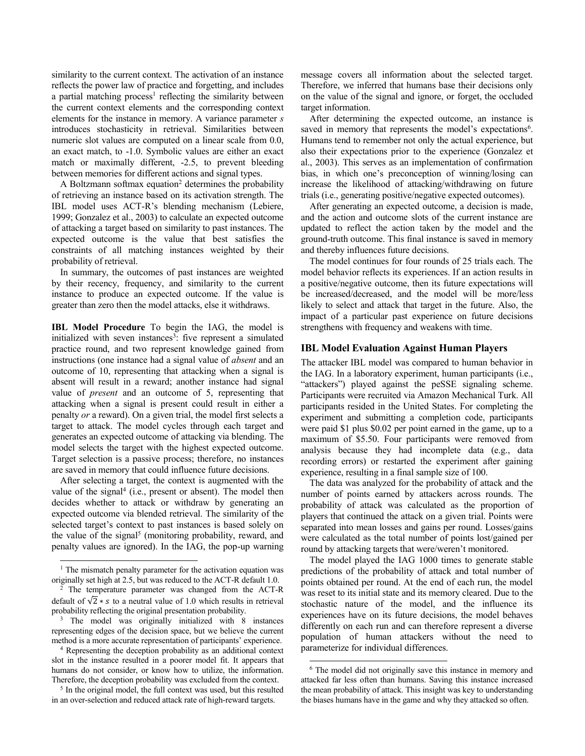similarity to the current context. The activation of an instance reflects the power law of practice and forgetting, and includes a partial matching process<sup>1</sup> reflecting the similarity between the current context elements and the corresponding context elements for the instance in memory. A variance parameter *s*  introduces stochasticity in retrieval. Similarities between numeric slot values are computed on a linear scale from 0.0, an exact match, to -1.0. Symbolic values are either an exact match or maximally different, -2.5, to prevent bleeding between memories for different actions and signal types.

A Boltzmann softmax equation<sup>2</sup> determines the probability of retrieving an instance based on its activation strength. The IBL model uses ACT-R's blending mechanism (Lebiere, 1999; Gonzalez et al., 2003) to calculate an expected outcome of attacking a target based on similarity to past instances. The expected outcome is the value that best satisfies the constraints of all matching instances weighted by their probability of retrieval.

In summary, the outcomes of past instances are weighted by their recency, frequency, and similarity to the current instance to produce an expected outcome. If the value is greater than zero then the model attacks, else it withdraws.

**IBL Model Procedure** To begin the IAG, the model is initialized with seven instances<sup>3</sup>: five represent a simulated practice round, and two represent knowledge gained from instructions (one instance had a signal value of *absent* and an outcome of 10, representing that attacking when a signal is absent will result in a reward; another instance had signal value of *present* and an outcome of 5, representing that attacking when a signal is present could result in either a penalty *or* a reward). On a given trial, the model first selects a target to attack. The model cycles through each target and generates an expected outcome of attacking via blending. The model selects the target with the highest expected outcome. Target selection is a passive process; therefore, no instances are saved in memory that could influence future decisions.

After selecting a target, the context is augmented with the value of the signal<sup>4</sup> (i.e., present or absent). The model then decides whether to attack or withdraw by generating an expected outcome via blended retrieval. The similarity of the selected target's context to past instances is based solely on the value of the signal<sup>5</sup> (monitoring probability, reward, and penalty values are ignored). In the IAG, the pop-up warning

 $\overline{a}$ 

message covers all information about the selected target. Therefore, we inferred that humans base their decisions only on the value of the signal and ignore, or forget, the occluded target information.

After determining the expected outcome, an instance is saved in memory that represents the model's expectations<sup>6</sup>. Humans tend to remember not only the actual experience, but also their expectations prior to the experience (Gonzalez et al., 2003). This serves as an implementation of confirmation bias, in which one's preconception of winning/losing can increase the likelihood of attacking/withdrawing on future trials (i.e., generating positive/negative expected outcomes).

After generating an expected outcome, a decision is made, and the action and outcome slots of the current instance are updated to reflect the action taken by the model and the ground-truth outcome. This final instance is saved in memory and thereby influences future decisions.

The model continues for four rounds of 25 trials each. The model behavior reflects its experiences. If an action results in a positive/negative outcome, then its future expectations will be increased/decreased, and the model will be more/less likely to select and attack that target in the future. Also, the impact of a particular past experience on future decisions strengthens with frequency and weakens with time.

# **IBL Model Evaluation Against Human Players**

The attacker IBL model was compared to human behavior in the IAG. In a laboratory experiment, human participants (i.e., "attackers") played against the peSSE signaling scheme. Participants were recruited via Amazon Mechanical Turk. All participants resided in the United States. For completing the experiment and submitting a completion code, participants were paid \$1 plus \$0.02 per point earned in the game, up to a maximum of \$5.50. Four participants were removed from analysis because they had incomplete data (e.g., data recording errors) or restarted the experiment after gaining experience, resulting in a final sample size of 100.

The data was analyzed for the probability of attack and the number of points earned by attackers across rounds. The probability of attack was calculated as the proportion of players that continued the attack on a given trial. Points were separated into mean losses and gains per round. Losses/gains were calculated as the total number of points lost/gained per round by attacking targets that were/weren't monitored.

The model played the IAG 1000 times to generate stable predictions of the probability of attack and total number of points obtained per round. At the end of each run, the model was reset to its initial state and its memory cleared. Due to the stochastic nature of the model, and the influence its experiences have on its future decisions, the model behaves differently on each run and can therefore represent a diverse population of human attackers without the need to parameterize for individual differences.

 $\overline{a}$ 

 $<sup>1</sup>$  The mismatch penalty parameter for the activation equation was</sup> originally set high at 2.5, but was reduced to the ACT-R default 1.0.

The temperature parameter was changed from the ACT-R default of  $\sqrt{2}$  \* s to a neutral value of 1.0 which results in retrieval probability reflecting the original presentation probability.

<sup>&</sup>lt;sup>3</sup> The model was originally initialized with 8 instances representing edges of the decision space, but we believe the current method is a more accurate representation of participants' experience.

<sup>4</sup> Representing the deception probability as an additional context slot in the instance resulted in a poorer model fit. It appears that humans do not consider, or know how to utilize, the information. Therefore, the deception probability was excluded from the context.

<sup>&</sup>lt;sup>5</sup> In the original model, the full context was used, but this resulted in an over-selection and reduced attack rate of high-reward targets.

<sup>6</sup> The model did not originally save this instance in memory and attacked far less often than humans. Saving this instance increased the mean probability of attack. This insight was key to understanding the biases humans have in the game and why they attacked so often.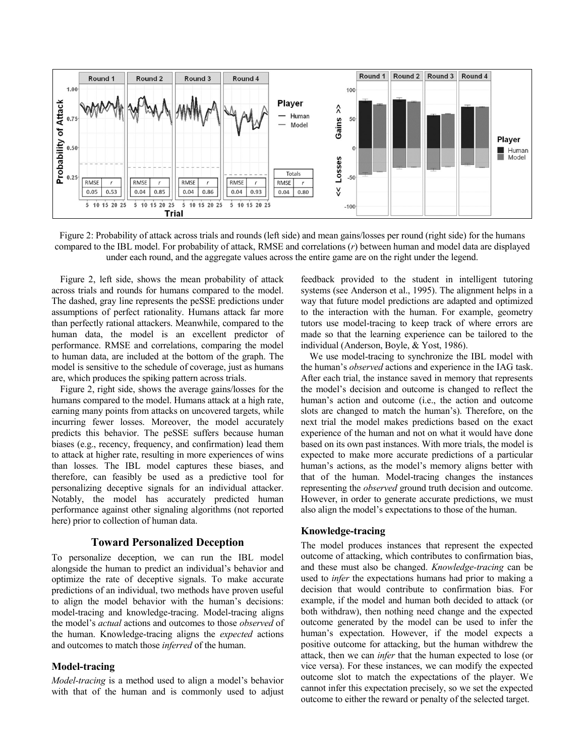

Figure 2: Probability of attack across trials and rounds (left side) and mean gains/losses per round (right side) for the humans compared to the IBL model. For probability of attack, RMSE and correlations (*r*) between human and model data are displayed under each round, and the aggregate values across the entire game are on the right under the legend.

Figure 2, left side, shows the mean probability of attack across trials and rounds for humans compared to the model. The dashed, gray line represents the peSSE predictions under assumptions of perfect rationality. Humans attack far more than perfectly rational attackers. Meanwhile, compared to the human data, the model is an excellent predictor of performance. RMSE and correlations, comparing the model to human data, are included at the bottom of the graph. The model is sensitive to the schedule of coverage, just as humans are, which produces the spiking pattern across trials.

Figure 2, right side, shows the average gains/losses for the humans compared to the model. Humans attack at a high rate, earning many points from attacks on uncovered targets, while incurring fewer losses. Moreover, the model accurately predicts this behavior. The peSSE suffers because human biases (e.g., recency, frequency, and confirmation) lead them to attack at higher rate, resulting in more experiences of wins than losses. The IBL model captures these biases, and therefore, can feasibly be used as a predictive tool for personalizing deceptive signals for an individual attacker. Notably, the model has accurately predicted human performance against other signaling algorithms (not reported here) prior to collection of human data.

## **Toward Personalized Deception**

To personalize deception, we can run the IBL model alongside the human to predict an individual's behavior and optimize the rate of deceptive signals. To make accurate predictions of an individual, two methods have proven useful to align the model behavior with the human's decisions: model-tracing and knowledge-tracing. Model-tracing aligns the model's *actual* actions and outcomes to those *observed* of the human. Knowledge-tracing aligns the *expected* actions and outcomes to match those *inferred* of the human.

#### **Model-tracing**

*Model-tracing* is a method used to align a model's behavior with that of the human and is commonly used to adjust feedback provided to the student in intelligent tutoring systems (see Anderson et al., 1995). The alignment helps in a way that future model predictions are adapted and optimized to the interaction with the human. For example, geometry tutors use model-tracing to keep track of where errors are made so that the learning experience can be tailored to the individual (Anderson, Boyle, & Yost, 1986).

We use model-tracing to synchronize the IBL model with the human's *observed* actions and experience in the IAG task. After each trial, the instance saved in memory that represents the model's decision and outcome is changed to reflect the human's action and outcome (i.e., the action and outcome slots are changed to match the human's). Therefore, on the next trial the model makes predictions based on the exact experience of the human and not on what it would have done based on its own past instances. With more trials, the model is expected to make more accurate predictions of a particular human's actions, as the model's memory aligns better with that of the human. Model-tracing changes the instances representing the *observed* ground truth decision and outcome. However, in order to generate accurate predictions, we must also align the model's expectations to those of the human.

# **Knowledge-tracing**

The model produces instances that represent the expected outcome of attacking, which contributes to confirmation bias, and these must also be changed. *Knowledge-tracing* can be used to *infer* the expectations humans had prior to making a decision that would contribute to confirmation bias. For example, if the model and human both decided to attack (or both withdraw), then nothing need change and the expected outcome generated by the model can be used to infer the human's expectation. However, if the model expects a positive outcome for attacking, but the human withdrew the attack, then we can *infer* that the human expected to lose (or vice versa). For these instances, we can modify the expected outcome slot to match the expectations of the player. We cannot infer this expectation precisely, so we set the expected outcome to either the reward or penalty of the selected target.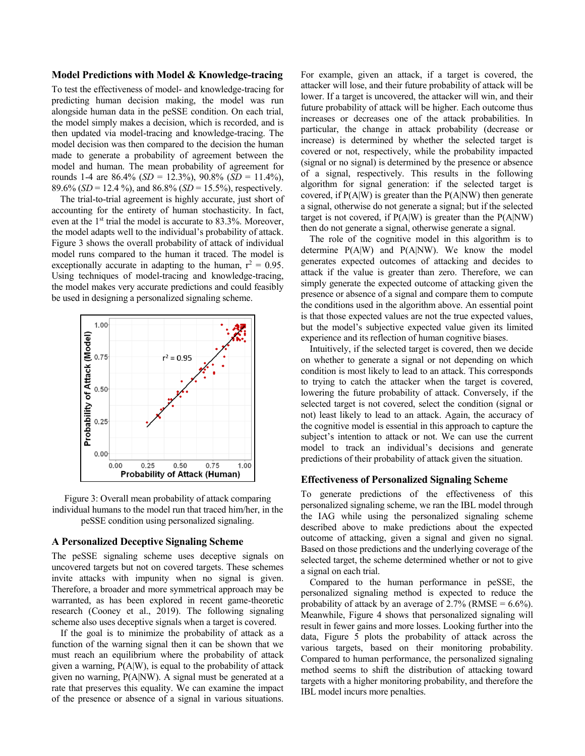#### **Model Predictions with Model & Knowledge-tracing**

To test the effectiveness of model- and knowledge-tracing for predicting human decision making, the model was run alongside human data in the peSSE condition. On each trial, the model simply makes a decision, which is recorded, and is then updated via model-tracing and knowledge-tracing. The model decision was then compared to the decision the human made to generate a probability of agreement between the model and human. The mean probability of agreement for rounds 1-4 are 86.4% (*SD* = 12.3%), 90.8% (*SD* = 11.4%), 89.6% (*SD* = 12.4 %), and 86.8% (*SD* = 15.5%), respectively.

The trial-to-trial agreement is highly accurate, just short of accounting for the entirety of human stochasticity. In fact, even at the 1<sup>st</sup> trial the model is accurate to 83.3%. Moreover, the model adapts well to the individual's probability of attack. Figure 3 shows the overall probability of attack of individual model runs compared to the human it traced. The model is exceptionally accurate in adapting to the human,  $r^2 = 0.95$ . Using techniques of model-tracing and knowledge-tracing, the model makes very accurate predictions and could feasibly be used in designing a personalized signaling scheme.





#### **A Personalized Deceptive Signaling Scheme**

The peSSE signaling scheme uses deceptive signals on uncovered targets but not on covered targets. These schemes invite attacks with impunity when no signal is given. Therefore, a broader and more symmetrical approach may be warranted, as has been explored in recent game-theoretic research (Cooney et al., 2019). The following signaling scheme also uses deceptive signals when a target is covered.

If the goal is to minimize the probability of attack as a function of the warning signal then it can be shown that we must reach an equilibrium where the probability of attack given a warning, P(A|W), is equal to the probability of attack given no warning, P(A|NW). A signal must be generated at a rate that preserves this equality. We can examine the impact of the presence or absence of a signal in various situations. For example, given an attack, if a target is covered, the attacker will lose, and their future probability of attack will be lower. If a target is uncovered, the attacker will win, and their future probability of attack will be higher. Each outcome thus increases or decreases one of the attack probabilities. In particular, the change in attack probability (decrease or increase) is determined by whether the selected target is covered or not, respectively, while the probability impacted (signal or no signal) is determined by the presence or absence of a signal, respectively. This results in the following algorithm for signal generation: if the selected target is covered, if  $P(A|W)$  is greater than the  $P(A|NW)$  then generate a signal, otherwise do not generate a signal; but if the selected target is not covered, if  $P(A|W)$  is greater than the  $P(A|NW)$ then do not generate a signal, otherwise generate a signal.

The role of the cognitive model in this algorithm is to determine P(A|W) and P(A|NW). We know the model generates expected outcomes of attacking and decides to attack if the value is greater than zero. Therefore, we can simply generate the expected outcome of attacking given the presence or absence of a signal and compare them to compute the conditions used in the algorithm above. An essential point is that those expected values are not the true expected values, but the model's subjective expected value given its limited experience and its reflection of human cognitive biases.

Intuitively, if the selected target is covered, then we decide on whether to generate a signal or not depending on which condition is most likely to lead to an attack. This corresponds to trying to catch the attacker when the target is covered, lowering the future probability of attack. Conversely, if the selected target is not covered, select the condition (signal or not) least likely to lead to an attack. Again, the accuracy of the cognitive model is essential in this approach to capture the subject's intention to attack or not. We can use the current model to track an individual's decisions and generate predictions of their probability of attack given the situation.

## **Effectiveness of Personalized Signaling Scheme**

To generate predictions of the effectiveness of this personalized signaling scheme, we ran the IBL model through the IAG while using the personalized signaling scheme described above to make predictions about the expected outcome of attacking, given a signal and given no signal. Based on those predictions and the underlying coverage of the selected target, the scheme determined whether or not to give a signal on each trial.

Compared to the human performance in peSSE, the personalized signaling method is expected to reduce the probability of attack by an average of  $2.7\%$  (RMSE =  $6.6\%$ ). Meanwhile, Figure 4 shows that personalized signaling will result in fewer gains and more losses. Looking further into the data, Figure 5 plots the probability of attack across the various targets, based on their monitoring probability. Compared to human performance, the personalized signaling method seems to shift the distribution of attacking toward targets with a higher monitoring probability, and therefore the IBL model incurs more penalties.